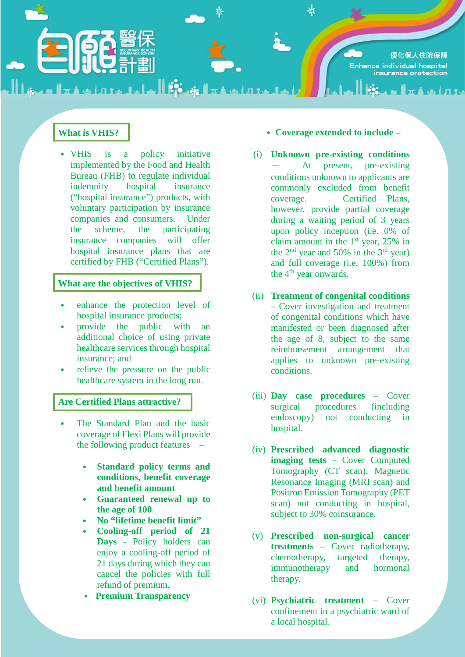優化個人住院保障 Enhance individual hospital insurance protection

**STA ALITY** 

 $\frac{1}{2}$ 

# **What is VHIS?**

˙ VHIS is a policy initiative implemented by the Food and Health Bureau (FHB) to regulate individual indemnity hospital insurance ("hospital insurance") products, with voluntary participation by insurance companies and consumers. Under the scheme, the participating insurance companies will offer hospital insurance plans that are certified by FHB ("Certified Plans").

المتعددا وخوات وكثار أحلمت وتساوي والممتلك

## **What are the objectives of VHIS?**

- enhance the protection level of hospital insurance products;
- ˙ provide the public with an additional choice of using private healthcare services through hospital insurance; and
- ˙ relieve the pressure on the public healthcare system in the long run.

## **Are Certified Plans attractive?**

- The Standard Plan and the basic coverage of Flexi Plans will provide the following product features –
	- ˙ **Standard policy terms and conditions, benefit coverage and benefit amount**
	- ˙ **Guaranteed renewal up to the age of 100**
	- ˙ **No "lifetime benefit limit"**
	- ˙ **Cooling-off period of 21 Days -** Policy holders can enjoy a cooling-off period of 21 days during which they can cancel the policies with full refund of premium.
	- ˙ **Premium Transparency**

### ˙ **Coverage extended to include** –

- (i) **Unknown pre-existing conditions** At present, pre-existing conditions unknown to applicants are commonly excluded from benefit coverage. Certified Plans, however, provide partial coverage during a waiting period of 3 years upon policy inception (i.e. 0% of claim amount in the  $1<sup>st</sup>$  year, 25% in the  $2<sup>nd</sup>$  year and 50% in the  $3<sup>rd</sup>$  year) and full coverage (i.e. 100%) from the 4<sup>th</sup> year onwards.
- (ii) **Treatment of congenital conditions** – Cover investigation and treatment of congenital conditions which have manifested or been diagnosed after the age of 8, subject to the same reimbursement arrangement that applies to unknown pre-existing conditions.
- (iii) **Day case procedures**  Cover surgical procedures (including endoscopy) not conducting in hospital.
- (iv) **Prescribed advanced diagnostic imaging tests** – Cover Computed Tomography (CT scan), Magnetic Resonance Imaging (MRI scan) and Positron Emission Tomography (PET scan) not conducting in hospital, subject to 30% coinsurance.
- (v) **Prescribed non-surgical cancer treatments** – Cover radiotherapy, chemotherapy, targeted therapy, immunotherapy and hormonal therapy.
- (vi) **Psychiatric treatment**  Cover confinement in a psychiatric ward of a local hospital.